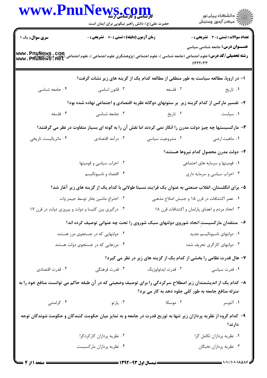| www.PnuNews.com                                                                                                                                                                        | حضرت علی(ع): دانش راهبر نیکویی برای ایمان است      |                                                                                                           |                                                   |  |
|----------------------------------------------------------------------------------------------------------------------------------------------------------------------------------------|----------------------------------------------------|-----------------------------------------------------------------------------------------------------------|---------------------------------------------------|--|
| سری سوال: یک ۱                                                                                                                                                                         | <b>زمان آزمون (دقیقه) : تستی : 60 ٪ تشریحی : 0</b> |                                                                                                           | <b>تعداد سوالات : تستی : 30 ٪ تشریحی : 0</b>      |  |
| <b>www . PnuNews . Com</b><br>ر <b>شته تحصیلی/کد درس:</b> علوم اجتماعی (جامعه شناسی )، علوم اجتماعی (پژوهشگری علوم اجتماعی )، علوم اجتماعی (نعاون ورقاه احتماعی<br>www . PhuNews . Net |                                                    |                                                                                                           | <b>عنـــوان درس:</b> جامعه شناسی سیاسی<br>N555.77 |  |
|                                                                                                                                                                                        |                                                    | ا- در اروپا، مطالعه سیاست به طور منطقی از مطالعه کدام یک از گزینه های زیر نشات گرفت؟                      |                                                   |  |
| ۰۴ جامعه شناسی                                                                                                                                                                         | ۰۳ قانون اساسی                                     | ٢. فلسفه                                                                                                  | ۰۱ تاريخ                                          |  |
|                                                                                                                                                                                        |                                                    | ۲- تفسیر مارکس از کدام گزینه زیر ً بر ستونهای دوگانه نظریه اقتصادی و اجتماعی نهاده شده بود؟               |                                                   |  |
| ۰۴ فلسفه                                                                                                                                                                               | ۰۳ جامعه شناسی                                     | ۰۲ تاریخ                                                                                                  | ۰۱ سیاست                                          |  |
|                                                                                                                                                                                        |                                                    | ۳- مارکسیستها چه چیز دولت مدرن را انکار نمی کردند اما نقش آن را به گونه ای بسیار متفاوت در نظر می گرفتند؟ |                                                   |  |
| ۰۴ ماتریالیست تاریخی                                                                                                                                                                   | ۰۳ درآمد اقتصادی                                   | ۰۲ مشروعیت سیاسی                                                                                          | ۰۱ ماهيت ارضي                                     |  |
|                                                                                                                                                                                        |                                                    |                                                                                                           | ۴– دولت مدرن محصول کدام نیروها هستند؟             |  |
|                                                                                                                                                                                        | ۰۲ احزاب سیاسی و قومیتها                           |                                                                                                           | ۰۱ قومیتها و سرمایه های اجتماعی                   |  |
|                                                                                                                                                                                        | ۰۴ اقتصاد و ناسیونالیسم                            |                                                                                                           | ۰۳ احزاب سیاسی و سرمایه داری                      |  |
|                                                                                                                                                                                        |                                                    | ۵– برای انگلستان، انقلاب صنعتی به عنوان یک فرایند نسبتا طولانی با کدام یک از گزینه های زیر آغاز شد؟       |                                                   |  |
|                                                                                                                                                                                        | ٠٢ اختراع ماشين بخار توسط جيمز وات                 |                                                                                                           | ۰۱ عصر اکتشافات در قرن ۱۵ و جنبش اصلاح مذهبی      |  |
| ۰۴ درگیری بین کلیسا و دولت و پیروزی دولت در قرن ۱۷                                                                                                                                     |                                                    |                                                                                                           | ۰۳ اتحاد مردم و اعضای پارلمان و اکتشافات قرن ۱۸   |  |
|                                                                                                                                                                                        |                                                    | ۶– منتقدان مارکسیستِ اتحاد شوروی دولتهای سبک شوروی را تحت چه عنوانی توصیف کرده اند؟                       |                                                   |  |
|                                                                                                                                                                                        | ۰۲ دولتهایی که در جستجوی مرز هستند                 | ٠١ دولتهاى ناسيوناليسم جديد                                                                               |                                                   |  |
|                                                                                                                                                                                        | ۰۴ مرزهایی که در جستجوی دولت هستند                 | ۰۳ دولتهای کارگری تحریف شده                                                                               |                                                   |  |
|                                                                                                                                                                                        |                                                    | ۷- هال قدرت نظامی را بخشی از کدام یک از گزینه های زیر در نظر می گیرد؟                                     |                                                   |  |
| ۰۴ قدرت اقتصادی                                                                                                                                                                        | ۰۳ قدرت فرهنگی                                     | ۰۲ قدرت ايدئولوژيک                                                                                        | ۰۱ قدرت سیاسی                                     |  |
| ۸– کدام یک از اندیشمندان زیر اصطلاح سرکردگی را برای توصیف وضعیتی که در آن طبقه حاکم می توانست منافع خود را به                                                                          |                                                    | منزله منافع جامعه به طور کلی جلوه دهد به کار می برد؟                                                      |                                                   |  |
| ۰۴ گرامشی                                                                                                                                                                              |                                                    | ۲. موسکا سه ۲. پارتو                                                                                      | ۰۱ آلتوسر                                         |  |
| ۹– کدام گروه از نظریه پردازان زیر تنها به توزیع قدرت در جامعه و به تمایز میان حکومت کنندگان و حکومت شوندگان توجه                                                                       |                                                    |                                                                                                           | دارند؟                                            |  |
| ۰۲ نظریه پردازان کارکردگرا                                                                                                                                                             |                                                    |                                                                                                           | ۰۱ نظریه پردازان تکامل گرا                        |  |
|                                                                                                                                                                                        | ۰۴ نظریه پردازان مارکسیست                          |                                                                                                           | ۰۳ نظریه پردازان نخبگان                           |  |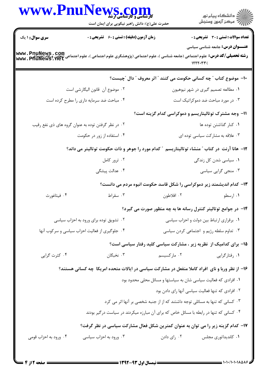|                                                    | WWW.PnuNews.com<br>حضرت علی(ع): دانش راهبر نیکویی برای ایمان است                                                                                                            |                                           | ِ<br>∭ دانشڪاه پيام نور<br>∭ مرڪز آزمون وسنڊش                                          |
|----------------------------------------------------|-----------------------------------------------------------------------------------------------------------------------------------------------------------------------------|-------------------------------------------|----------------------------------------------------------------------------------------|
| <b>سری سوال : ۱ یک</b>                             | <b>زمان آزمون (دقیقه) : تستی : 60 ٪ تشریحی : 0</b>                                                                                                                          |                                           | <b>تعداد سوالات : تستی : 30 ٪ تشریحی : 0</b><br><b>عنـــوان درس:</b> جامعه شناسی سیاسی |
|                                                    | <b>رشته تحصیلی/کد درس:</b> علوم اجتماعی (جامعه شناسی )، علوم اجتماعی (پژوهشگری علوم اجتماعی )، علوم اجتماعی (تعاون ورفاه اجتماع www . PnuNews . Com<br>www . PfiuNews . Net |                                           | 1555.77                                                                                |
|                                                    |                                                                                                                                                                             |                                           | ∙ا− موضوع کتاب ؒ چه کسانی حکومت می کنند ؒ اثر معروف ؒ دال ؒچیست؟                       |
|                                                    | ۰۲ موضوع آن  قانون الیگارشی است                                                                                                                                             |                                           | ۰۱ مطالعه تصمیم گیری در شهر نیوهیون                                                    |
|                                                    | ۰۴ مباحث ضد سرمایه داری را مطرح کرده است                                                                                                                                    |                                           | ۰۳ در مورد مباحث ضد دموکراتیک است                                                      |
|                                                    |                                                                                                                                                                             |                                           | 1۱- وجه مشترک توتالیتاریسم و دموکراسی کدام گزینه است؟                                  |
| ۰۲ در نظر گرفتن توده به عنوان گروه های ذی نفع رقیب |                                                                                                                                                                             | ٠١ كنار گذاشتن توده ها                    |                                                                                        |
|                                                    | ۰۴ استفاده از زور در حکومت                                                                                                                                                  |                                           | ۰۳ علاقه به مشاركت سياسي توده اي                                                       |
|                                                    | ۱۲- هانا آرنت در کتاب "منشاء توتالیتاریسم " کدام مورد را جوهر و ذات حکومت توتالیتر می داند؟                                                                                 |                                           |                                                                                        |
|                                                    | ۰۲ ترور کامل                                                                                                                                                                |                                           | ۰۱ سیاسی شدن کل زندگی                                                                  |
|                                                    | ۰۴ عدالت پیشگی                                                                                                                                                              |                                           | ۰۳ منجی گرایی سیاسی                                                                    |
|                                                    |                                                                                                                                                                             |                                           | ۱۳- کدام اندیشمند زیر دموکراسی را شکل قاسد حکومت انبوه مردم می دانست؟                  |
| ۰۴ فيثاغورث                                        | ۰۳ سقراط                                                                                                                                                                    | ۰۲ افلاطون                                | ۰۱ ارسطو                                                                               |
|                                                    |                                                                                                                                                                             |                                           | ۱۴- در جوامع توتالیتر کنترل رسانه ها به چه منظور صورت می گیرد؟                         |
|                                                    | ۰۲ تشویق توده برای ورود به احزاب سیاسی                                                                                                                                      | ٠١. برقراري ارتباط بين دولت و احزاب سياسي |                                                                                        |
| ۰۴ جلوگیری از فعالیت احزاب سیاسی و سرکوب آنها      |                                                                                                                                                                             | ۰۳ تداوم سلطه رژیم و اجتماعی کردن سیاسی   |                                                                                        |
|                                                    |                                                                                                                                                                             |                                           | ۱۵- برای کدامیک از نظریه زیر ، مشارکت سیاسی کلید رفتار سیاسی است؟                      |
| ۰۴ کثرت گرایی                                      | ۰۳ نخبگان                                                                                                                                                                   | ۰۲ مارکسیسم                               | ۰۱ رفتارگرایی                                                                          |
|                                                    | ۱۶– از نظر وربا و نای افراد کاملا منفعل در مشارکت سیاسی در ایالات متحده امریکا چه کسانی هستند؟                                                                              |                                           |                                                                                        |
|                                                    |                                                                                                                                                                             |                                           | ۰۱ افرادی که فعالیت سیاسی شان به سیاستها و مسائل محلی محدود بود                        |
|                                                    |                                                                                                                                                                             |                                           | ۰۲ افرادی که تنها فعالیت سیاسی آنها رای دادن بود                                       |
|                                                    |                                                                                                                                                                             |                                           | ۰۳ کسانی که تنها به مسائلی توجه داشتند که از از جنبه شخصی بر آنها اثر می کرد           |
|                                                    | ۰۴ کسانی که تنها در رابطه با مسائل خاص که برای آن مبارزه میکردند در سیاست درگیر بودند                                                                                       |                                           |                                                                                        |
|                                                    | ۱۷– کدام گزینه زیر را می توان به عنوان کمترین شکل فعال مشارکت سیاسی در نظر گرفت؟                                                                                            |                                           |                                                                                        |
| ۰۴ ورود به احزاب قومی                              | ۰۳ ورود به احزاب سیاسی                                                                                                                                                      | ۰۲ رای دادن                               | ۰۱ کاندیداتوری مجلس                                                                    |
|                                                    |                                                                                                                                                                             |                                           |                                                                                        |

 $= 1 - 1 - 11 - 110005$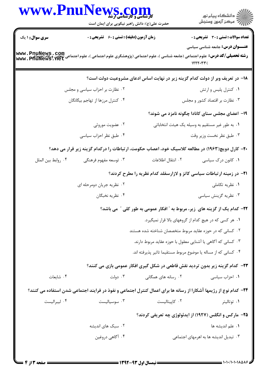| www.Pnu                | حضرت علی(ع): دانش راهبر نیکویی برای ایمان است      | الدین است و کارشناسی ارشد<br>کارشناسی و کارشناسی ارشد    | ڪ دانشڪاه پيا <sub>م</sub> نور<br>ر <i>7</i> مرڪز آزمون وسنڊش                                                                                                                                                                     |
|------------------------|----------------------------------------------------|----------------------------------------------------------|-----------------------------------------------------------------------------------------------------------------------------------------------------------------------------------------------------------------------------------|
| <b>سری سوال : ۱ یک</b> | <b>زمان آزمون (دقیقه) : تستی : 60 ٪ تشریحی : 0</b> |                                                          | تعداد سوالات : تستى : 30 - تشريحي : 0                                                                                                                                                                                             |
|                        |                                                    |                                                          | <b>عنـــوان درس:</b> جامعه شناسی سیاسی<br><b>رشته تحصیلی/کد درس:</b> علوم اجتماعی (جامعه شناسی )، علوم اجتماعی (پژوهشگری علوم اجتماعی )، علوم اجتماعی (تعاون ورفاه اجتماعه WWW . PnuNews . Com<br>WWW . PfiuNews . Net<br>1555.77 |
|                        |                                                    |                                                          | ۱۸– در تعریف وبر از دولت کدام گزینه زیر در نهایت اساس ادعای مشروعیت دولت است؟                                                                                                                                                     |
|                        | ۰۲ نظارت بر احزاب سیاسی و مجلس                     |                                                          | ٠١ كنترل پليس و ارتش                                                                                                                                                                                                              |
|                        | ۰۴ کنترل مرزها از تهاجم بیگانگان                   |                                                          | ۰۳ نظارت بر اقتصاد کشور و مجلس                                                                                                                                                                                                    |
|                        |                                                    |                                                          | ۱۹– اعضای مجلس سنای کانادا چگونه نامزد می شوند؟                                                                                                                                                                                   |
|                        | ۰۲ عضویت موروثی                                    |                                                          | ۰۱ به طور غیر مستقیم به وسیله یک هیئت انتخاباتی                                                                                                                                                                                   |
|                        | ۰۴ طبق نظر احزاب سیاسی                             |                                                          | ۰۳ طبق نظر نخست وزير وقت                                                                                                                                                                                                          |
|                        |                                                    |                                                          | ۲۰- کارل دویچ(۱۹۶۳) در مطالعه کلاسیک خود، اعصاب حکومت، ارتباطات را درکدام گزینه زیر قرار می دهد؟                                                                                                                                  |
| ۰۴ روابط بين الملل     | ۰۳ توسعه مفهوم فرهنگی                              | ٠٢ انتقال اطلاعات                                        | ۰۱ کانون درک سیاسی                                                                                                                                                                                                                |
|                        |                                                    |                                                          | <b>۲۱</b> - در زمینه ارتباطات سیاسی کاتز و لازارسفلد کدام نظریه را مطرح کردند؟                                                                                                                                                    |
|                        | ۰۲ نظریه جریان دومرحله ای                          |                                                          | ۰۱ نظریه تکاملی                                                                                                                                                                                                                   |
|                        | ۰۴ نظريه نخبگان                                    |                                                          | ۰۳ نظریه گزینش سیاسی                                                                                                                                                                                                              |
|                        |                                                    |                                                          | ۲۲– کدام یک از گزینه های زیر، مربوط به ″ افکار عمومی به طور کلی ″ می باشد؟                                                                                                                                                        |
|                        |                                                    |                                                          | ۰۱ هر کسی که در هیچ کدام از گروههای بالا قرار نمیگیرد.                                                                                                                                                                            |
|                        |                                                    | ۰۲ کسانی که در حوزه عقاید مربوط متخصصان شناخته شده هستند |                                                                                                                                                                                                                                   |
|                        |                                                    |                                                          | ۰۳ کسانی که آگاهی یا آشنایی معقول با حوزه عقاید مربوط دارند.                                                                                                                                                                      |
|                        |                                                    |                                                          | ۰۴ کسانی که از مساله یا موضوع مربوط مستقیما تاثیر پذیرفته اند.                                                                                                                                                                    |
|                        |                                                    |                                                          | <b>۲۳</b> - کدام گزینه زیر بدون تردید نقش قاطعی در شکل گیری افکار عمومی بازی می کنند؟                                                                                                                                             |
| ۰۴ شايعات              | ۰۳ دولت                                            | ۰۲ رسانه های همگانی                                      | ۰۱ احزاب سیاسی                                                                                                                                                                                                                    |
|                        |                                                    |                                                          | <b>3۴</b> – کدام نوع از رژیمها آشکارا از رسانه ها برای اعمال کنترل اجتماعی و نفوذ در فرایند اجتماعی شدن استفاده می کنند؟                                                                                                          |
| ۰۴ ليبراليست           | ۰۳ سوسیالیست                                       | ٠٢ كاپيتاليست                                            | ۰۱ توتاليتر                                                                                                                                                                                                                       |
|                        |                                                    |                                                          | ۲۵- مارکس و انگلس (۱۹۲۷) از ایدئولوژی چه تعریفی کردند؟                                                                                                                                                                            |
|                        | ۰۲ سبک های اندیشه                                  |                                                          | ٠١. علم انديشه ها                                                                                                                                                                                                                 |
|                        | ۰۴ آگاهي دروغين                                    |                                                          | ۰۳ تبدیل اندیشه ها به اهرمهای اجتماعی                                                                                                                                                                                             |
|                        |                                                    |                                                          |                                                                                                                                                                                                                                   |
|                        |                                                    |                                                          |                                                                                                                                                                                                                                   |